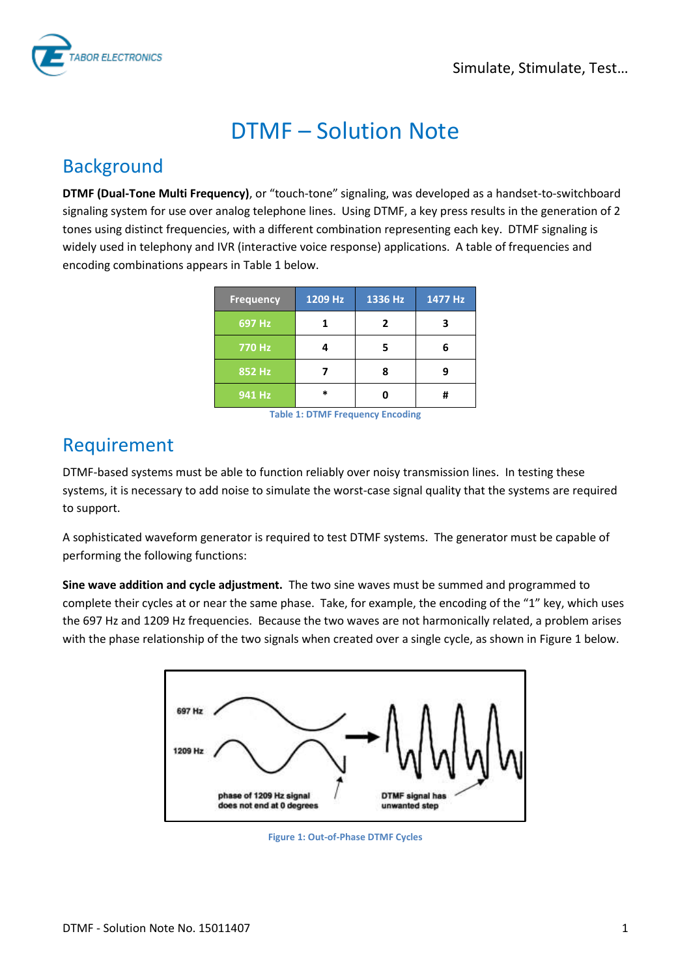

# DTMF – Solution Note

#### Background

**DTMF (Dual-Tone Multi Frequency)**, or "touch-tone" signaling, was developed as a handset-to-switchboard signaling system for use over analog telephone lines. Using DTMF, a key press results in the generation of 2 tones using distinct frequencies, with a different combination representing each key. DTMF signaling is widely used in telephony and IVR (interactive voice response) applications. A table of frequencies and encoding combinations appears i[n Table 1](#page-0-0) below.

| <b>Frequency</b> | 1209 Hz | 1336 Hz | $1477$ Hz |
|------------------|---------|---------|-----------|
| 697 Hz           |         | 7       |           |
| 770 Hz           |         |         |           |
| 852 Hz           |         |         |           |
| 941 Hz           | *       |         |           |

**Table 1: DTMF Frequency Encoding**

### <span id="page-0-0"></span>Requirement

DTMF-based systems must be able to function reliably over noisy transmission lines. In testing these systems, it is necessary to add noise to simulate the worst-case signal quality that the systems are required to support.

A sophisticated waveform generator is required to test DTMF systems. The generator must be capable of performing the following functions:

**Sine wave addition and cycle adjustment.** The two sine waves must be summed and programmed to complete their cycles at or near the same phase. Take, for example, the encoding of the "1" key, which uses the 697 Hz and 1209 Hz frequencies. Because the two waves are not harmonically related, a problem arises with the phase relationship of the two signals when created over a single cycle, as shown in [Figure 1](#page-0-1) below.

<span id="page-0-1"></span>

**Figure 1: Out-of-Phase DTMF Cycles**